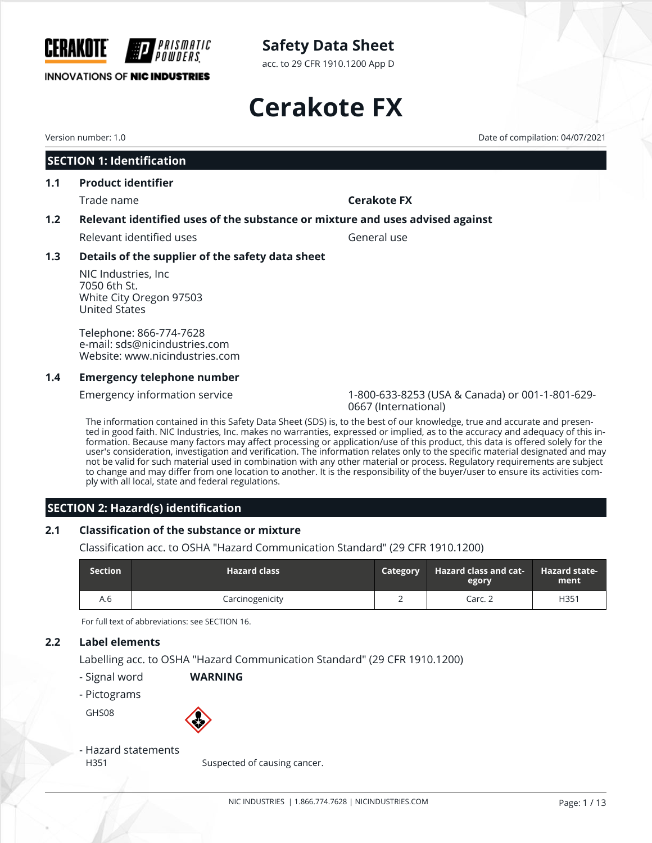acc. to 29 CFR 1910.1200 App D

# **Cerakote FX**

CERAKOTE

#### **SECTION 1: Identification**

**INNOVATIONS OF NIC INDUSTRIES** 

#### **1.1 Product identifier**

Trade name **Cerakote FX**

#### **1.2 Relevant identified uses of the substance or mixture and uses advised against**

Relevant identified uses General use

#### **1.3 Details of the supplier of the safety data sheet**

*'PRISMATIC* 

NIC Industries, Inc 7050 6th St. White City Oregon 97503 United States

Telephone: 866-774-7628 e-mail: sds@nicindustries.com Website: www.nicindustries.com

#### **1.4 Emergency telephone number**

Emergency information service 1-800-633-8253 (USA & Canada) or 001-1-801-629- 0667 (International)

The information contained in this Safety Data Sheet (SDS) is, to the best of our knowledge, true and accurate and presented in good faith. NIC Industries, Inc. makes no warranties, expressed or implied, as to the accuracy and adequacy of this information. Because many factors may affect processing or application/use of this product, this data is offered solely for the user's consideration, investigation and verification. The information relates only to the specific material designated and may not be valid for such material used in combination with any other material or process. Regulatory requirements are subject to change and may differ from one location to another. It is the responsibility of the buyer/user to ensure its activities comply with all local, state and federal regulations.

#### **SECTION 2: Hazard(s) identification**

#### **2.1 Classification of the substance or mixture**

Classification acc. to OSHA "Hazard Communication Standard" (29 CFR 1910.1200)

| <b>Section</b> | <b>Hazard class</b> | <b>Category</b> | <b>Hazard class and cat-</b><br><b>regory</b> | <b>Hazard state-</b><br>ment |
|----------------|---------------------|-----------------|-----------------------------------------------|------------------------------|
| A.6            | Carcinogenicity     |                 | Carc. 2                                       | H351                         |

For full text of abbreviations: see SECTION 16.

#### **2.2 Label elements**

Labelling acc. to OSHA "Hazard Communication Standard" (29 CFR 1910.1200)

- Signal word **WARNING**
- Pictograms

GHS08



### - Hazard statements

H351 Suspected of causing cancer.

Version number: 1.0 Date of compilation: 04/07/2021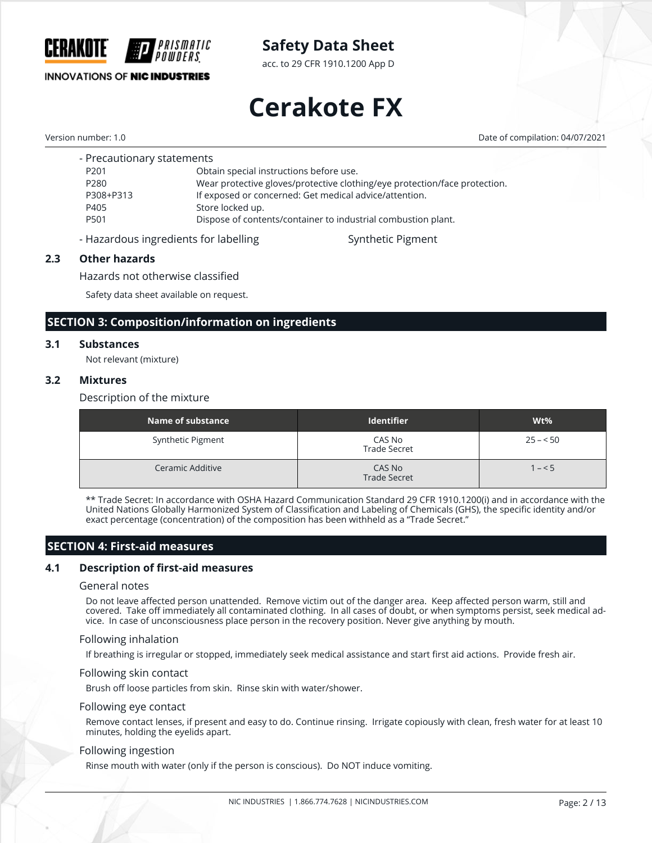

acc. to 29 CFR 1910.1200 App D

# **Cerakote FX**

**INNOVATIONS OF NIC INDUSTRIES** 

Version number: 1.0 Date of compilation: 04/07/2021

| - Precautionary statements |                                                                            |
|----------------------------|----------------------------------------------------------------------------|
| P <sub>201</sub>           | Obtain special instructions before use.                                    |
| P280                       | Wear protective gloves/protective clothing/eye protection/face protection. |
| P308+P313                  | If exposed or concerned: Get medical advice/attention.                     |
| P405                       | Store locked up.                                                           |
| P <sub>501</sub>           | Dispose of contents/container to industrial combustion plant.              |
|                            |                                                                            |

- Hazardous ingredients for labelling states and Synthetic Pigment

*PRISMATIC* 

#### **2.3 Other hazards**

Hazards not otherwise classified

Safety data sheet available on request.

#### **SECTION 3: Composition/information on ingredients**

#### **3.1 Substances**

Not relevant (mixture)

#### **3.2 Mixtures**

Description of the mixture

| Name of substance | <b>Identifier</b>             | $Wt\%$    |
|-------------------|-------------------------------|-----------|
| Synthetic Pigment | CAS No<br><b>Trade Secret</b> | $25 - 50$ |
| Ceramic Additive  | CAS No<br><b>Trade Secret</b> | $1 - 5$   |

\*\* Trade Secret: In accordance with OSHA Hazard Communication Standard 29 CFR 1910.1200(i) and in accordance with the United Nations Globally Harmonized System of Classification and Labeling of Chemicals (GHS), the specific identity and/or exact percentage (concentration) of the composition has been withheld as a "Trade Secret."

#### **SECTION 4: First-aid measures**

#### **4.1 Description of first-aid measures**

#### General notes

Do not leave affected person unattended. Remove victim out of the danger area. Keep affected person warm, still and covered. Take off immediately all contaminated clothing. In all cases of doubt, or when symptoms persist, seek medical advice. In case of unconsciousness place person in the recovery position. Never give anything by mouth.

#### Following inhalation

If breathing is irregular or stopped, immediately seek medical assistance and start first aid actions. Provide fresh air.

#### Following skin contact

Brush off loose particles from skin. Rinse skin with water/shower.

#### Following eye contact

Remove contact lenses, if present and easy to do. Continue rinsing. Irrigate copiously with clean, fresh water for at least 10 minutes, holding the eyelids apart.

#### Following ingestion

Rinse mouth with water (only if the person is conscious). Do NOT induce vomiting.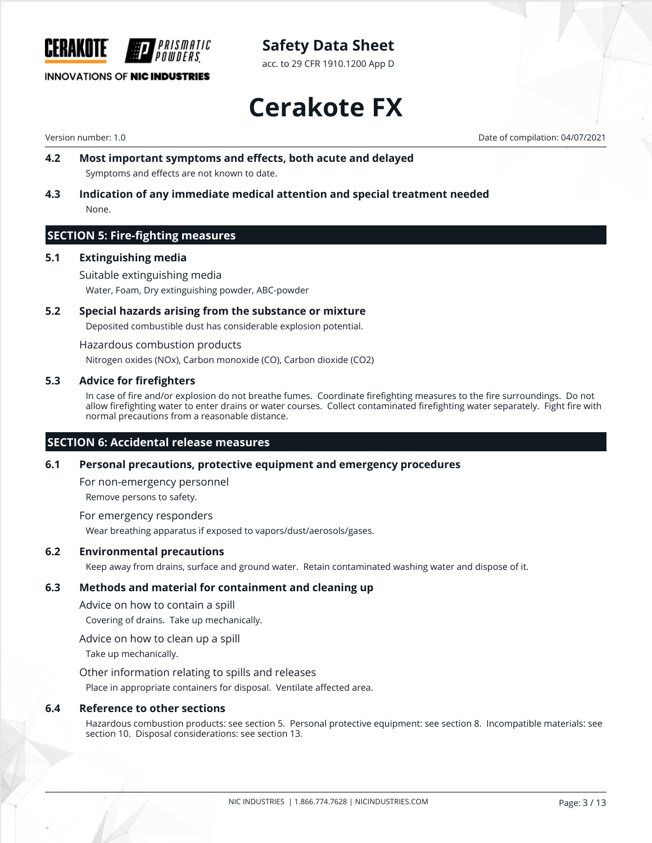

acc. to 29 CFR 1910.1200 App D

#### **INNOVATIONS OF NIC INDUSTRIES**

**Cerakote FX**

Version number: 1.0 Date of compilation: 04/07/2021

- **4.2 Most important symptoms and effects, both acute and delayed** Symptoms and effects are not known to date.
- **4.3 Indication of any immediate medical attention and special treatment needed** None.

#### **SECTION 5: Fire-fighting measures**

#### **5.1 Extinguishing media**

Suitable extinguishing media Water, Foam, Dry extinguishing powder, ABC-powder

#### **5.2 Special hazards arising from the substance or mixture**

Deposited combustible dust has considerable explosion potential.

Hazardous combustion products

Nitrogen oxides (NOx), Carbon monoxide (CO), Carbon dioxide (CO2)

#### **5.3 Advice for firefighters**

In case of fire and/or explosion do not breathe fumes. Coordinate firefighting measures to the fire surroundings. Do not allow firefighting water to enter drains or water courses. Collect contaminated firefighting water separately. Fight fire with normal precautions from a reasonable distance.

#### **SECTION 6: Accidental release measures**

#### **6.1 Personal precautions, protective equipment and emergency procedures**

For non-emergency personnel Remove persons to safety.

For emergency responders Wear breathing apparatus if exposed to vapors/dust/aerosols/gases.

#### **6.2 Environmental precautions**

Keep away from drains, surface and ground water. Retain contaminated washing water and dispose of it.

#### **6.3 Methods and material for containment and cleaning up**

Advice on how to contain a spill

Covering of drains. Take up mechanically.

Advice on how to clean up a spill

Take up mechanically.

Other information relating to spills and releases

Place in appropriate containers for disposal. Ventilate affected area.

#### **6.4 Reference to other sections**

Hazardous combustion products: see section 5. Personal protective equipment: see section 8. Incompatible materials: see section 10. Disposal considerations: see section 13.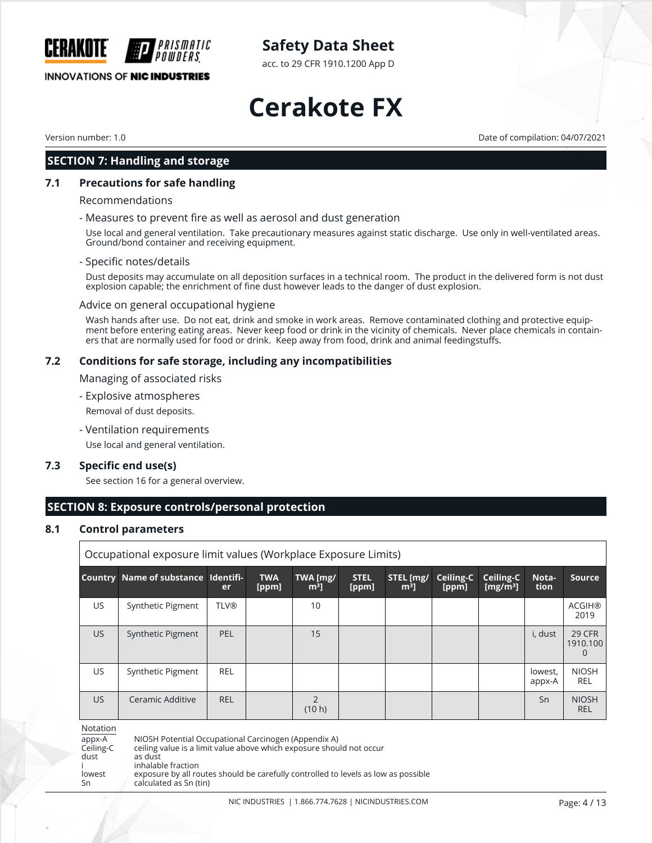acc. to 29 CFR 1910.1200 App D

**INNOVATIONS OF NIC INDUSTRIES** 

# **Cerakote FX**

Version number: 1.0 Date of compilation: 04/07/2021

CERAKOTE

#### **SECTION 7: Handling and storage**

#### **7.1 Precautions for safe handling**

Recommendations

#### - Measures to prevent fire as well as aerosol and dust generation

Use local and general ventilation. Take precautionary measures against static discharge. Use only in well-ventilated areas. Ground/bond container and receiving equipment.

#### - Specific notes/details

Dust deposits may accumulate on all deposition surfaces in a technical room. The product in the delivered form is not dust explosion capable; the enrichment of fine dust however leads to the danger of dust explosion.

#### Advice on general occupational hygiene

IPRISMATIC

Wash hands after use. Do not eat, drink and smoke in work areas. Remove contaminated clothing and protective equipment before entering eating areas. Never keep food or drink in the vicinity of chemicals. Never place chemicals in containers that are normally used for food or drink. Keep away from food, drink and animal feedingstuffs.

#### **7.2 Conditions for safe storage, including any incompatibilities**

Managing of associated risks

- Explosive atmospheres

Removal of dust deposits.

- Ventilation requirements

Use local and general ventilation.

#### **7.3 Specific end use(s)**

See section 16 for a general overview.

#### **SECTION 8: Exposure controls/personal protection**

#### **8.1 Control parameters**

|     | Occupational exposure limit values (Workplace Exposure Limits) |             |                     |                    |                      |                      |                    |                                   |                   |                                    |
|-----|----------------------------------------------------------------|-------------|---------------------|--------------------|----------------------|----------------------|--------------------|-----------------------------------|-------------------|------------------------------------|
|     | Country Name of substance Identifi-                            | <b>er</b>   | <b>TWA</b><br>[ppm] | TWA [mg/<br>$m3$ ] | <b>STEL</b><br>[ppm] | STEL [mg/<br>$[m^3]$ | Ceiling-C<br>[ppm] | Ceiling-C<br>[mg/m <sup>3</sup> ] | Nota-<br>tion     | <b>Source</b>                      |
| US  | Synthetic Pigment                                              | <b>TLV®</b> |                     | 10                 |                      |                      |                    |                                   |                   | <b>ACGIH®</b><br>2019              |
| US. | Synthetic Pigment                                              | PEL         |                     | 15                 |                      |                      |                    |                                   | i, dust           | 29 CFR<br>1910.100<br>$\mathbf{I}$ |
| US  | Synthetic Pigment                                              | <b>REL</b>  |                     |                    |                      |                      |                    |                                   | lowest,<br>appx-A | <b>NIOSH</b><br><b>REL</b>         |
| US. | Ceramic Additive                                               | <b>REL</b>  |                     | (10 h)             |                      |                      |                    |                                   | Sn                | <b>NIOSH</b><br><b>REL</b>         |

Notation

appx-A NIOSH Potential Occupational Carcinogen (Appendix A)<br>
Ceiling-C ceiling value is a limit value above which exposure shou ceiling value is a limit value above which exposure should not occur

dust as dust inhalable fraction

lowest exposure by all routes should be carefully controlled to levels as low as possible Sn calculated as Sn (tin)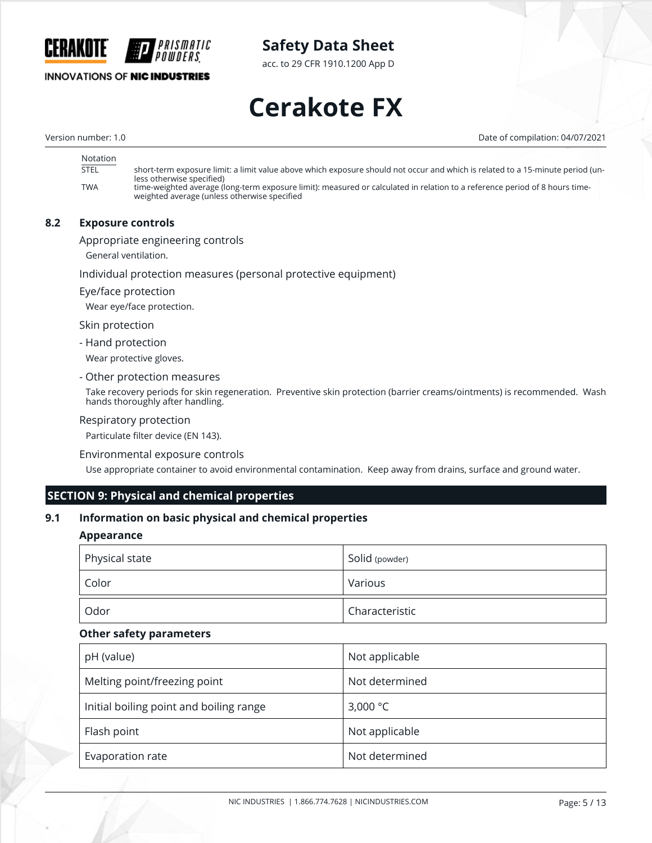

**INNOVATIONS OF NIC INDUSTRIES** 

acc. to 29 CFR 1910.1200 App D

# **Cerakote FX**

Version number: 1.0 Date of compilation: 04/07/2021

| Notation    |                                                                                                                                |
|-------------|--------------------------------------------------------------------------------------------------------------------------------|
| <b>STEL</b> | short-term exposure limit: a limit value above which exposure should not occur and which is related to a 15-minute period (un- |
|             | less otherwise specified)                                                                                                      |
| TWA         | time-weighted average (long-term exposure limit): measured or calculated in relation to a reference period of 8 hours time-    |
|             | weighted average (unless otherwise specified                                                                                   |

#### **8.2 Exposure controls**

Appropriate engineering controls

General ventilation.

Individual protection measures (personal protective equipment)

Eye/face protection

Wear eye/face protection.

Skin protection

- Hand protection

Wear protective gloves.

- Other protection measures

Take recovery periods for skin regeneration. Preventive skin protection (barrier creams/ointments) is recommended. Wash hands thoroughly after handling.

#### Respiratory protection

Particulate filter device (EN 143).

#### Environmental exposure controls

Use appropriate container to avoid environmental contamination. Keep away from drains, surface and ground water.

#### **SECTION 9: Physical and chemical properties**

#### **9.1 Information on basic physical and chemical properties**

#### **Appearance**

| Physical state | Solid (powder) |
|----------------|----------------|
| Color          | Various        |
| Odor           | Characteristic |

#### **Other safety parameters**

| pH (value)                              | Not applicable     |
|-----------------------------------------|--------------------|
| Melting point/freezing point            | Not determined     |
| Initial boiling point and boiling range | 3,000 $^{\circ}$ C |
| Flash point                             | Not applicable     |
| Evaporation rate                        | Not determined     |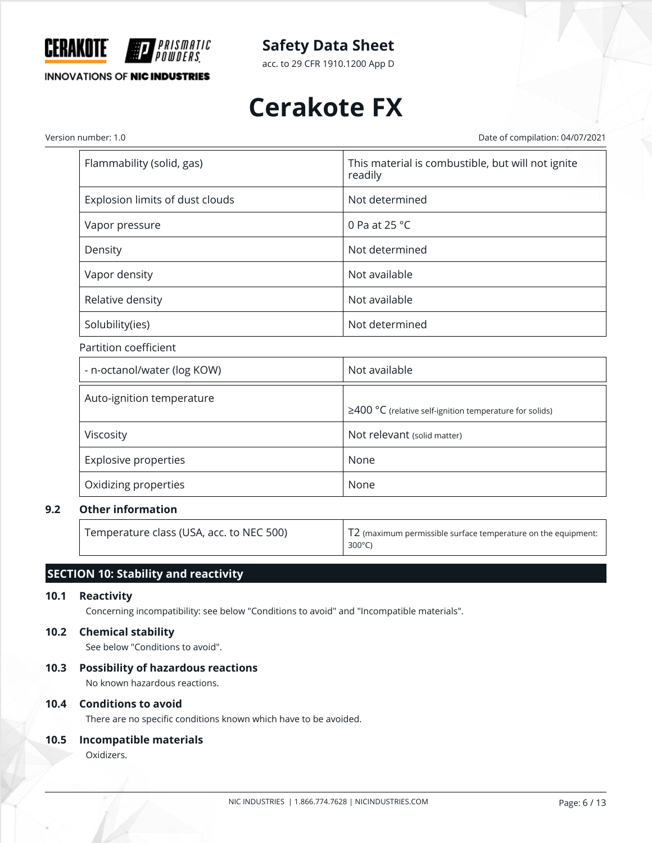

acc. to 29 CFR 1910.1200 App D

# **Cerakote FX**

Version number: 1.0 Date of compilation: 04/07/2021

| Flammability (solid, gas)       | This material is combustible, but will not ignite<br>readily |
|---------------------------------|--------------------------------------------------------------|
| Explosion limits of dust clouds | Not determined                                               |
| Vapor pressure                  | 0 Pa at 25 $^{\circ}$ C                                      |
| Density                         | Not determined                                               |
| Vapor density                   | Not available                                                |
| Relative density                | Not available                                                |
| Solubility(ies)                 | Not determined                                               |

#### Partition coefficient

| - n-octanol/water (log KOW) | Not available                                                 |
|-----------------------------|---------------------------------------------------------------|
| Auto-ignition temperature   | $\geq$ 400 °C (relative self-ignition temperature for solids) |
| Viscosity                   | Not relevant (solid matter)                                   |
| <b>Explosive properties</b> | None                                                          |
| Oxidizing properties        | None                                                          |

#### **9.2 Other information**

Temperature class (USA, acc. to NEC 500) T2 (maximum permissible surface temperature on the equipment: 300°C)

### **SECTION 10: Stability and reactivity**

#### **10.1 Reactivity**

Concerning incompatibility: see below "Conditions to avoid" and "Incompatible materials".

#### **10.2 Chemical stability**

See below "Conditions to avoid".

#### **10.3 Possibility of hazardous reactions**

No known hazardous reactions.

#### **10.4 Conditions to avoid**

There are no specific conditions known which have to be avoided.

#### **10.5 Incompatible materials**

Oxidizers.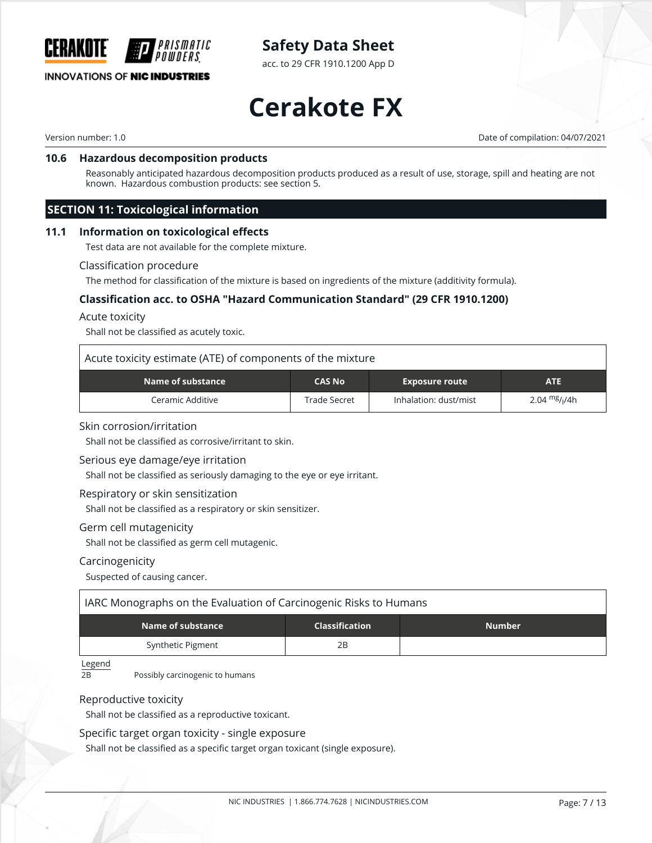

acc. to 29 CFR 1910.1200 App D

#### **INNOVATIONS OF NIC INDUSTRIES**

# **Cerakote FX**

Version number: 1.0 Date of compilation: 04/07/2021

#### **10.6 Hazardous decomposition products**

Reasonably anticipated hazardous decomposition products produced as a result of use, storage, spill and heating are not known. Hazardous combustion products: see section 5.

#### **SECTION 11: Toxicological information**

#### **11.1 Information on toxicological effects**

Test data are not available for the complete mixture.

#### Classification procedure

The method for classification of the mixture is based on ingredients of the mixture (additivity formula).

#### **Classification acc. to OSHA "Hazard Communication Standard" (29 CFR 1910.1200)**

#### Acute toxicity

Shall not be classified as acutely toxic.

#### Acute toxicity estimate (ATE) of components of the mixture

| Name of substance | <b>CAS No</b> | <b>Exposure route</b> | ATE            |
|-------------------|---------------|-----------------------|----------------|
| Ceramic Additive  | Trade Secret  | Inhalation: dust/mist | 2.04 $mg/1/4h$ |

#### Skin corrosion/irritation

Shall not be classified as corrosive/irritant to skin.

#### Serious eye damage/eye irritation

Shall not be classified as seriously damaging to the eye or eye irritant.

#### Respiratory or skin sensitization

Shall not be classified as a respiratory or skin sensitizer.

#### Germ cell mutagenicity

Shall not be classified as germ cell mutagenic.

#### Carcinogenicity

Suspected of causing cancer.

| IARC Monographs on the Evaluation of Carcinogenic Risks to Humans |    |  |  |  |  |  |
|-------------------------------------------------------------------|----|--|--|--|--|--|
| Name of substance<br><b>Number</b><br><b>Classification</b>       |    |  |  |  |  |  |
| Synthetic Pigment                                                 | 2Β |  |  |  |  |  |

Legend

2B Possibly carcinogenic to humans

#### Reproductive toxicity

Shall not be classified as a reproductive toxicant.

#### Specific target organ toxicity - single exposure

Shall not be classified as a specific target organ toxicant (single exposure).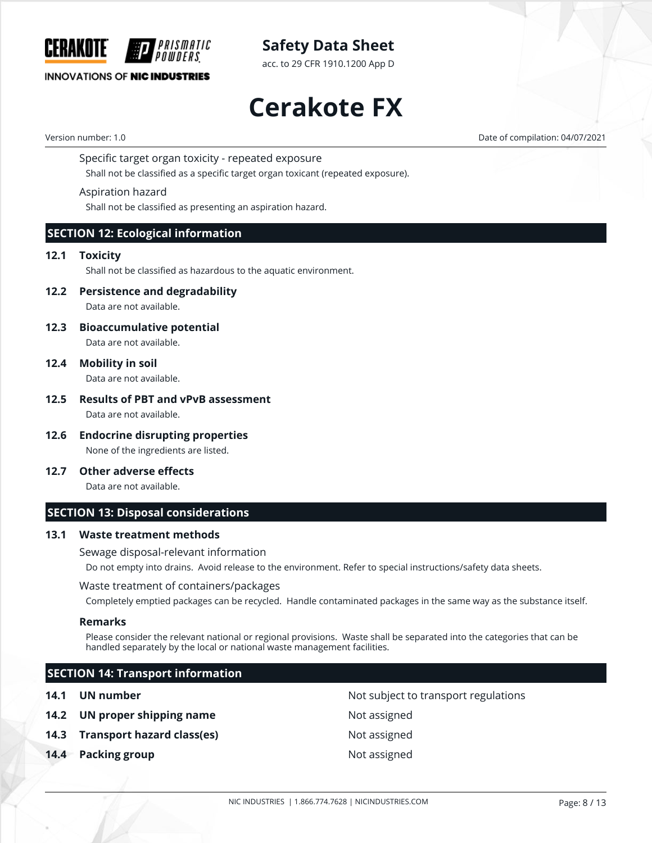

acc. to 29 CFR 1910.1200 App D

#### **INNOVATIONS OF NIC INDUSTRIES**

**Cerakote FX**

Version number: 1.0 Date of compilation: 04/07/2021

Specific target organ toxicity - repeated exposure

Shall not be classified as a specific target organ toxicant (repeated exposure).

#### Aspiration hazard

Shall not be classified as presenting an aspiration hazard.

#### **SECTION 12: Ecological information**

#### **12.1 Toxicity**

Shall not be classified as hazardous to the aquatic environment.

**12.2 Persistence and degradability**

Data are not available.

**12.3 Bioaccumulative potential**

Data are not available.

**12.4 Mobility in soil**

Data are not available.

#### **12.5 Results of PBT and vPvB assessment** Data are not available.

- **12.6 Endocrine disrupting properties** None of the ingredients are listed.
- **12.7 Other adverse effects**

Data are not available.

#### **SECTION 13: Disposal considerations**

#### **13.1 Waste treatment methods**

Sewage disposal-relevant information

Do not empty into drains. Avoid release to the environment. Refer to special instructions/safety data sheets.

#### Waste treatment of containers/packages

Completely emptied packages can be recycled. Handle contaminated packages in the same way as the substance itself.

#### **Remarks**

Please consider the relevant national or regional provisions. Waste shall be separated into the categories that can be handled separately by the local or national waste management facilities.

#### **SECTION 14: Transport information**

- **14.2 UN proper shipping name** Not assigned
- **14.3 Transport hazard class(es)** Not assigned
- **14.4 Packing group 14.4 Packing group**

**14.1 UN number 14.1 UN** number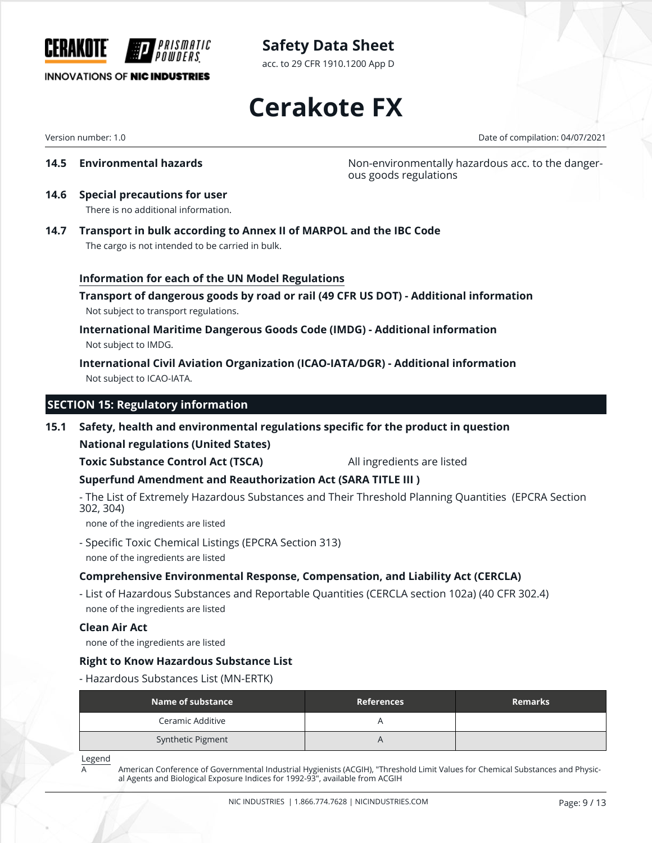

acc. to 29 CFR 1910.1200 App D

### **INNOVATIONS OF NIC INDUSTRIES**

**Cerakote FX**

Version number: 1.0 Date of compilation: 04/07/2021

**14.5 Environmental hazards Non-environmentally hazardous acc. to the danger**ous goods regulations

- **14.6 Special precautions for user** There is no additional information.
- **14.7 Transport in bulk according to Annex II of MARPOL and the IBC Code** The cargo is not intended to be carried in bulk.

#### **Information for each of the UN Model Regulations**

**Transport of dangerous goods by road or rail (49 CFR US DOT) - Additional information** Not subject to transport regulations.

**International Maritime Dangerous Goods Code (IMDG) - Additional information** Not subject to IMDG.

**International Civil Aviation Organization (ICAO-IATA/DGR) - Additional information** Not subject to ICAO-IATA.

#### **SECTION 15: Regulatory information**

#### **15.1 Safety, health and environmental regulations specific for the product in question**

**National regulations (United States)**

**Toxic Substance Control Act (TSCA)** All ingredients are listed

#### **Superfund Amendment and Reauthorization Act (SARA TITLE III )**

- The List of Extremely Hazardous Substances and Their Threshold Planning Quantities (EPCRA Section 302, 304)

none of the ingredients are listed

- Specific Toxic Chemical Listings (EPCRA Section 313) none of the ingredients are listed

#### **Comprehensive Environmental Response, Compensation, and Liability Act (CERCLA)**

- List of Hazardous Substances and Reportable Quantities (CERCLA section 102a) (40 CFR 302.4) none of the ingredients are listed

#### **Clean Air Act**

none of the ingredients are listed

#### **Right to Know Hazardous Substance List**

- Hazardous Substances List (MN-ERTK)

| Name of substance | <b>References</b> | <b>Remarks</b> |
|-------------------|-------------------|----------------|
| Ceramic Additive  |                   |                |
| Synthetic Pigment |                   |                |

Legend

A American Conference of Governmental Industrial Hygienists (ACGIH), "Threshold Limit Values for Chemical Substances and Physical Agents and Biological Exposure Indices for 1992-93", available from ACGIH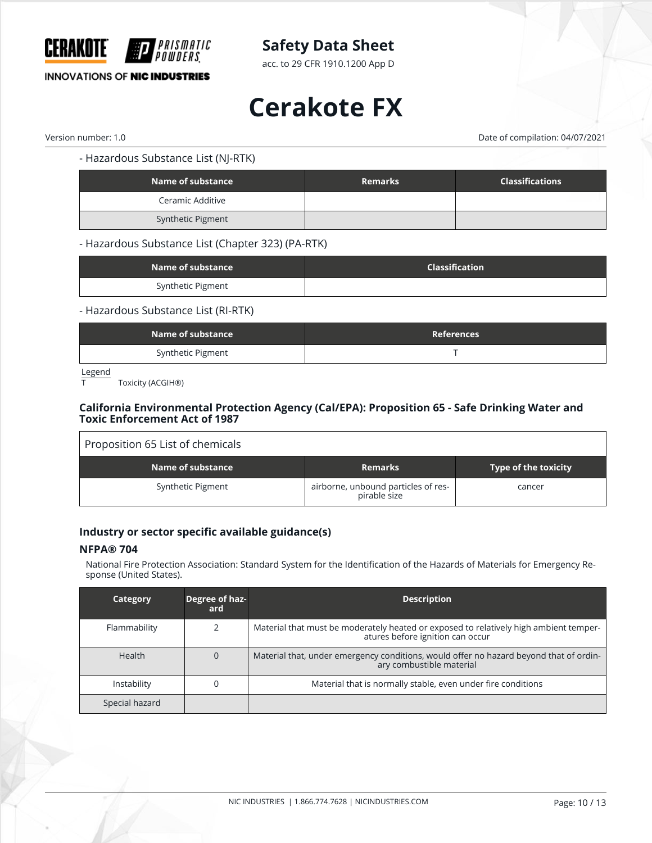

acc. to 29 CFR 1910.1200 App D

#### **INNOVATIONS OF NIC INDUSTRIES**

# **Cerakote FX**

Version number: 1.0 Date of compilation: 04/07/2021

- Hazardous Substance List (NJ-RTK)

| Name of substance | <b>Remarks</b> | <b>Classifications</b> |
|-------------------|----------------|------------------------|
| Ceramic Additive  |                |                        |
| Synthetic Pigment |                |                        |

- Hazardous Substance List (Chapter 323) (PA-RTK)

| Name of substance | <b>Classification</b> |
|-------------------|-----------------------|
| Synthetic Pigment |                       |

#### - Hazardous Substance List (RI-RTK)

| Name of substance | References |
|-------------------|------------|
| Synthetic Pigment |            |

Legend

Toxicity (ACGIH®)

#### **California Environmental Protection Agency (Cal/EPA): Proposition 65 - Safe Drinking Water and Toxic Enforcement Act of 1987**

| Proposition 65 List of chemicals |                                                     |                             |
|----------------------------------|-----------------------------------------------------|-----------------------------|
| Name of substance                | <b>Remarks</b>                                      | <b>Type of the toxicity</b> |
| Synthetic Pigment                | airborne, unbound particles of res-<br>pirable size | cancer                      |

#### **Industry or sector specific available guidance(s)**

#### **NFPA® 704**

National Fire Protection Association: Standard System for the Identification of the Hazards of Materials for Emergency Response (United States).

| Category       | Degree of haz-<br>ard | <b>Description</b>                                                                                                        |
|----------------|-----------------------|---------------------------------------------------------------------------------------------------------------------------|
| Flammability   |                       | Material that must be moderately heated or exposed to relatively high ambient temper-<br>atures before ignition can occur |
| <b>Health</b>  |                       | Material that, under emergency conditions, would offer no hazard beyond that of ordin-<br>ary combustible material        |
| Instability    |                       | Material that is normally stable, even under fire conditions                                                              |
| Special hazard |                       |                                                                                                                           |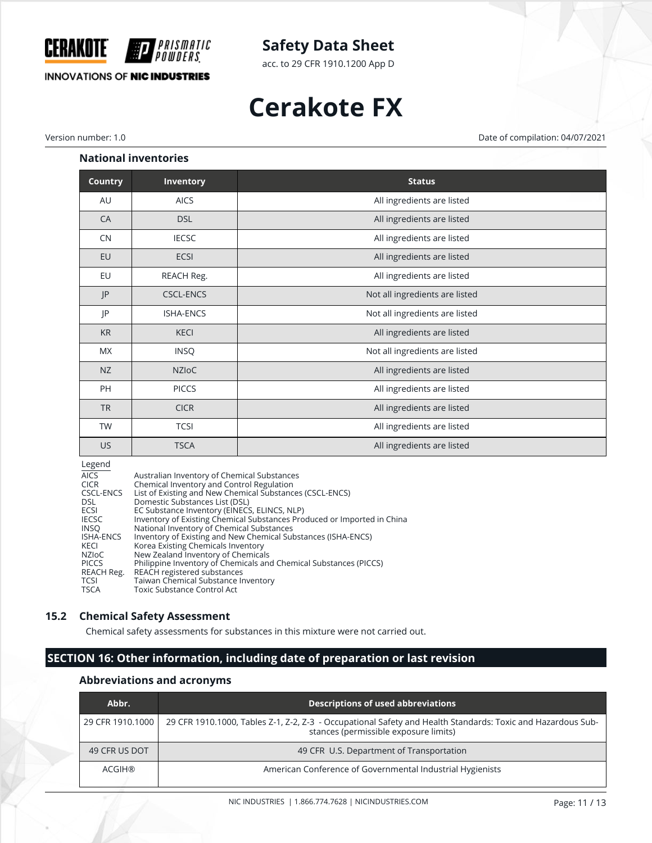

acc. to 29 CFR 1910.1200 App D

#### **INNOVATIONS OF NIC INDUSTRIES**

# **Cerakote FX**

Version number: 1.0 Date of compilation: 04/07/2021

#### **National inventories**

| <b>Country</b> | Inventory        | <b>Status</b>                  |
|----------------|------------------|--------------------------------|
| AU             | <b>AICS</b>      | All ingredients are listed     |
| CA             | <b>DSL</b>       | All ingredients are listed     |
| CN             | <b>IECSC</b>     | All ingredients are listed     |
| EU             | ECSI             | All ingredients are listed     |
| EU             | REACH Reg.       | All ingredients are listed     |
| P              | <b>CSCL-ENCS</b> | Not all ingredients are listed |
| P              | <b>ISHA-ENCS</b> | Not all ingredients are listed |
| <b>KR</b>      | <b>KECI</b>      | All ingredients are listed     |
| <b>MX</b>      | <b>INSQ</b>      | Not all ingredients are listed |
| NZ             | <b>NZIOC</b>     | All ingredients are listed     |
| <b>PH</b>      | <b>PICCS</b>     | All ingredients are listed     |
| <b>TR</b>      | <b>CICR</b>      | All ingredients are listed     |
| <b>TW</b>      | <b>TCSI</b>      | All ingredients are listed     |
| <b>US</b>      | <b>TSCA</b>      | All ingredients are listed     |

#### Legend

| <b>AICS</b>      | Australian Inventory of Chemical Substances                             |
|------------------|-------------------------------------------------------------------------|
| <b>CICR</b>      | Chemical Inventory and Control Regulation                               |
| CSCL-ENCS        | List of Existing and New Chemical Substances (CSCL-ENCS)                |
| DSL.             | Domestic Substances List (DSL)                                          |
| ECSI             | EC Substance Inventory (EINECS, ELINCS, NLP)                            |
| <b>IECSC</b>     | Inventory of Existing Chemical Substances Produced or Imported in China |
| <b>INSO</b>      | National Inventory of Chemical Substances                               |
| <b>ISHA-ENCS</b> | Inventory of Existing and New Chemical Substances (ISHA-ENCS)           |
| KECI             | Korea Existing Chemicals Inventory                                      |
| NZIoC            | New Zealand Inventory of Chemicals                                      |
| <b>PICCS</b>     | Philippine Inventory of Chemicals and Chemical Substances (PICCS)       |
| REACH Reg.       | REACH registered substances                                             |
| <b>TCSI</b>      | Taiwan Chemical Substance Inventory                                     |
| <b>TSCA</b>      | Toxic Substance Control Act                                             |

#### **15.2 Chemical Safety Assessment**

Chemical safety assessments for substances in this mixture were not carried out.

### **SECTION 16: Other information, including date of preparation or last revision**

#### **Abbreviations and acronyms**

| Abbr.            | Descriptions of used abbreviations                                                                                                                   |
|------------------|------------------------------------------------------------------------------------------------------------------------------------------------------|
| 29 CFR 1910.1000 | 29 CFR 1910.1000, Tables Z-1, Z-2, Z-3 - Occupational Safety and Health Standards: Toxic and Hazardous Sub-<br>stances (permissible exposure limits) |
| 49 CFR US DOT    | 49 CFR U.S. Department of Transportation                                                                                                             |
| ACGIH®           | American Conference of Governmental Industrial Hygienists                                                                                            |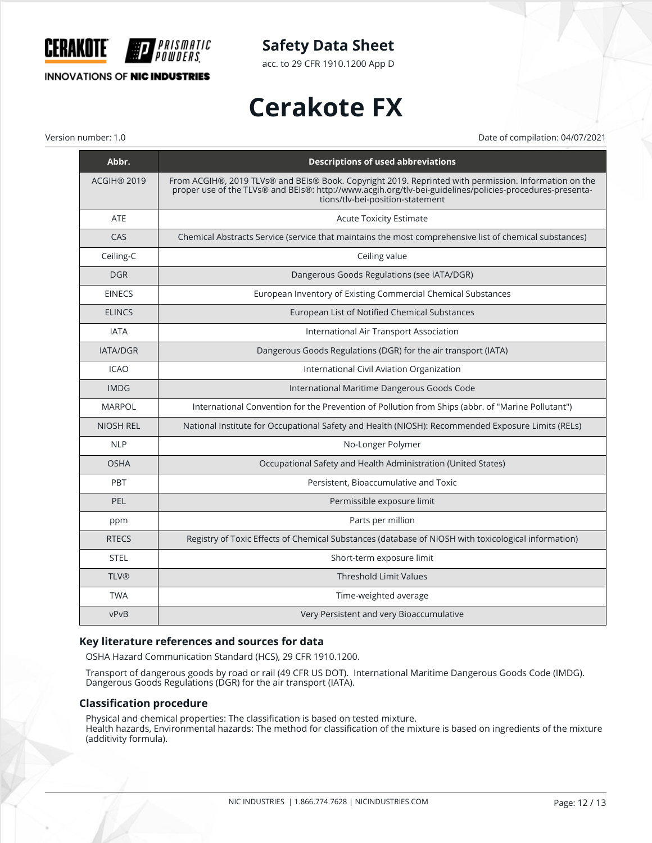

**INNOVATIONS OF NIC INDUSTRIES** 

**Safety Data Sheet**

acc. to 29 CFR 1910.1200 App D

# **Cerakote FX**

Version number: 1.0 Date of compilation: 04/07/2021

| Abbr.              | <b>Descriptions of used abbreviations</b>                                                                                                                                                                                                             |
|--------------------|-------------------------------------------------------------------------------------------------------------------------------------------------------------------------------------------------------------------------------------------------------|
| <b>ACGIH® 2019</b> | From ACGIH®, 2019 TLVs® and BEIs® Book. Copyright 2019. Reprinted with permission. Information on the<br>proper use of the TLVs® and BEIs®: http://www.acgih.org/tlv-bei-guidelines/policies-procedures-presenta-<br>tions/tlv-bei-position-statement |
| <b>ATE</b>         | <b>Acute Toxicity Estimate</b>                                                                                                                                                                                                                        |
| CAS                | Chemical Abstracts Service (service that maintains the most comprehensive list of chemical substances)                                                                                                                                                |
| Ceiling-C          | Ceiling value                                                                                                                                                                                                                                         |
| <b>DGR</b>         | Dangerous Goods Regulations (see IATA/DGR)                                                                                                                                                                                                            |
| <b>EINECS</b>      | European Inventory of Existing Commercial Chemical Substances                                                                                                                                                                                         |
| <b>ELINCS</b>      | European List of Notified Chemical Substances                                                                                                                                                                                                         |
| <b>IATA</b>        | International Air Transport Association                                                                                                                                                                                                               |
| <b>IATA/DGR</b>    | Dangerous Goods Regulations (DGR) for the air transport (IATA)                                                                                                                                                                                        |
| <b>ICAO</b>        | International Civil Aviation Organization                                                                                                                                                                                                             |
| <b>IMDG</b>        | International Maritime Dangerous Goods Code                                                                                                                                                                                                           |
| <b>MARPOL</b>      | International Convention for the Prevention of Pollution from Ships (abbr. of "Marine Pollutant")                                                                                                                                                     |
| <b>NIOSH REL</b>   | National Institute for Occupational Safety and Health (NIOSH): Recommended Exposure Limits (RELs)                                                                                                                                                     |
| <b>NLP</b>         | No-Longer Polymer                                                                                                                                                                                                                                     |
| <b>OSHA</b>        | Occupational Safety and Health Administration (United States)                                                                                                                                                                                         |
| PBT                | Persistent, Bioaccumulative and Toxic                                                                                                                                                                                                                 |
| PEL                | Permissible exposure limit                                                                                                                                                                                                                            |
| ppm                | Parts per million                                                                                                                                                                                                                                     |
| <b>RTECS</b>       | Registry of Toxic Effects of Chemical Substances (database of NIOSH with toxicological information)                                                                                                                                                   |
| <b>STEL</b>        | Short-term exposure limit                                                                                                                                                                                                                             |
| <b>TLV®</b>        | <b>Threshold Limit Values</b>                                                                                                                                                                                                                         |
| <b>TWA</b>         | Time-weighted average                                                                                                                                                                                                                                 |
| vPvB               | Very Persistent and very Bioaccumulative                                                                                                                                                                                                              |

#### **Key literature references and sources for data**

OSHA Hazard Communication Standard (HCS), 29 CFR 1910.1200.

Transport of dangerous goods by road or rail (49 CFR US DOT). International Maritime Dangerous Goods Code (IMDG). Dangerous Goods Regulations (DGR) for the air transport (IATA).

#### **Classification procedure**

Physical and chemical properties: The classification is based on tested mixture.

Health hazards, Environmental hazards: The method for classification of the mixture is based on ingredients of the mixture (additivity formula).